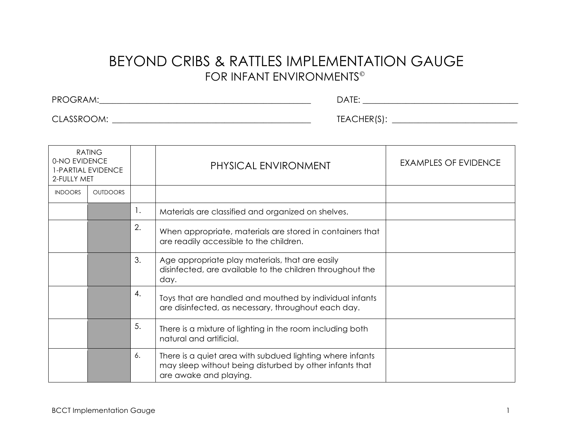## BEYOND CRIBS & RATTLES IMPLEMENTATION GAUGE FOR INFANT ENVIRONMENTS

PROGRAM:\_\_\_\_\_\_\_\_\_\_\_\_\_\_\_\_\_\_\_\_\_\_\_\_\_\_\_\_\_\_\_\_\_\_\_\_\_\_\_\_\_\_\_\_\_\_\_\_\_ DATE: \_\_\_\_\_\_\_\_\_\_\_\_\_\_\_\_\_\_\_\_\_\_\_\_\_\_\_\_\_\_\_\_\_\_\_\_

CLASSROOM: \_\_\_\_\_\_\_\_\_\_\_\_\_\_\_\_\_\_\_\_\_\_\_\_\_\_\_\_\_\_\_\_\_\_\_\_\_\_\_\_\_\_\_\_\_\_ TEACHER(S): \_\_\_\_\_\_\_\_\_\_\_\_\_\_\_\_\_\_\_\_\_\_\_\_\_\_\_\_\_

| <b>RATING</b><br>0-NO EVIDENCE<br>1-PARTIAL EVIDENCE<br>2-FULLY MET |                 |    | PHYSICAL ENVIRONMENT                                                                                                                           | <b>EXAMPLES OF EVIDENCE</b> |
|---------------------------------------------------------------------|-----------------|----|------------------------------------------------------------------------------------------------------------------------------------------------|-----------------------------|
| <b>INDOORS</b>                                                      | <b>OUTDOORS</b> |    |                                                                                                                                                |                             |
|                                                                     |                 | 1. | Materials are classified and organized on shelves.                                                                                             |                             |
|                                                                     |                 | 2. | When appropriate, materials are stored in containers that<br>are readily accessible to the children.                                           |                             |
|                                                                     |                 | 3. | Age appropriate play materials, that are easily<br>disinfected, are available to the children throughout the<br>day.                           |                             |
|                                                                     |                 | 4. | Toys that are handled and mouthed by individual infants<br>are disinfected, as necessary, throughout each day.                                 |                             |
|                                                                     |                 | 5. | There is a mixture of lighting in the room including both<br>natural and artificial.                                                           |                             |
|                                                                     |                 | 6. | There is a quiet area with subdued lighting where infants<br>may sleep without being disturbed by other infants that<br>are awake and playing. |                             |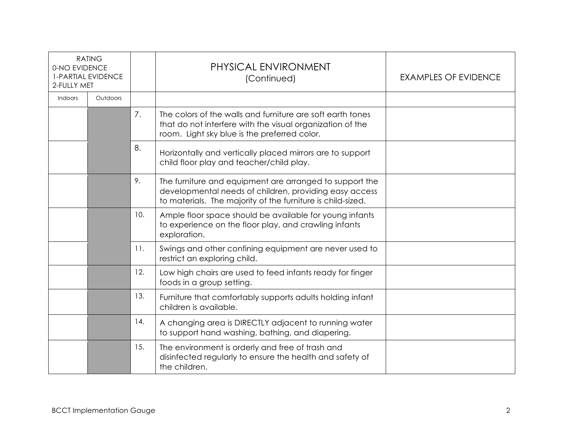| <b>RATING</b><br>0-NO EVIDENCE<br><b>1-PARTIAL EVIDENCE</b><br>2-FULLY MET |          |     | PHYSICAL ENVIRONMENT<br>(Continued)                                                                                                                                              | <b>EXAMPLES OF EVIDENCE</b> |
|----------------------------------------------------------------------------|----------|-----|----------------------------------------------------------------------------------------------------------------------------------------------------------------------------------|-----------------------------|
| Indoors                                                                    | Outdoors |     |                                                                                                                                                                                  |                             |
|                                                                            |          | 7.  | The colors of the walls and furniture are soft earth tones<br>that do not interfere with the visual organization of the<br>room. Light sky blue is the preferred color.          |                             |
|                                                                            |          | 8.  | Horizontally and vertically placed mirrors are to support<br>child floor play and teacher/child play.                                                                            |                             |
|                                                                            |          | 9.  | The furniture and equipment are arranged to support the<br>developmental needs of children, providing easy access<br>to materials. The majority of the furniture is child-sized. |                             |
|                                                                            |          | 10. | Ample floor space should be available for young infants<br>to experience on the floor play, and crawling infants<br>exploration.                                                 |                             |
|                                                                            |          | 11. | Swings and other confining equipment are never used to<br>restrict an exploring child.                                                                                           |                             |
|                                                                            |          | 12. | Low high chairs are used to feed infants ready for finger<br>foods in a group setting.                                                                                           |                             |
|                                                                            |          | 13. | Furniture that comfortably supports adults holding infant<br>children is available.                                                                                              |                             |
|                                                                            |          | 14. | A changing area is DIRECTLY adjacent to running water<br>to support hand washing, bathing, and diapering.                                                                        |                             |
|                                                                            |          | 15. | The environment is orderly and free of trash and<br>disinfected regularly to ensure the health and safety of<br>the children.                                                    |                             |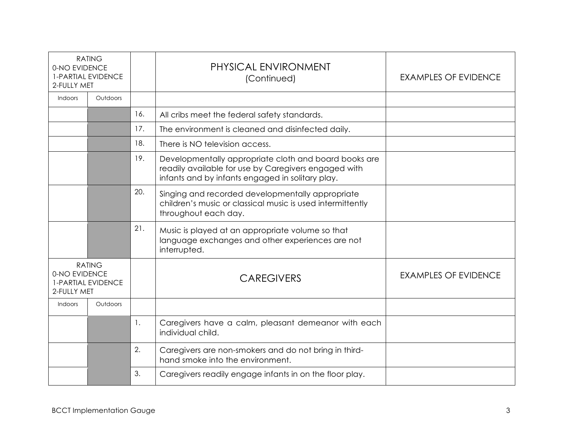| <b>RATING</b><br>0-NO EVIDENCE<br><b>1-PARTIAL EVIDENCE</b><br>2-FULLY MET |                 |                | PHYSICAL ENVIRONMENT<br>(Continued)                                                                                                                               | <b>EXAMPLES OF EVIDENCE</b> |
|----------------------------------------------------------------------------|-----------------|----------------|-------------------------------------------------------------------------------------------------------------------------------------------------------------------|-----------------------------|
| Indoors                                                                    | Outdoors        |                |                                                                                                                                                                   |                             |
|                                                                            |                 | 16.            | All cribs meet the federal safety standards.                                                                                                                      |                             |
|                                                                            |                 | 17.            | The environment is cleaned and disinfected daily.                                                                                                                 |                             |
|                                                                            |                 | 18.            | There is NO television access.                                                                                                                                    |                             |
|                                                                            |                 | 19.            | Developmentally appropriate cloth and board books are<br>readily available for use by Caregivers engaged with<br>infants and by infants engaged in solitary play. |                             |
|                                                                            |                 | 20.            | Singing and recorded developmentally appropriate<br>children's music or classical music is used intermittently<br>throughout each day.                            |                             |
|                                                                            |                 | 21.            | Music is played at an appropriate volume so that<br>language exchanges and other experiences are not<br>interrupted.                                              |                             |
| <b>RATING</b><br>0-NO EVIDENCE<br><b>1-PARTIAL EVIDENCE</b><br>2-FULLY MET |                 |                | <b>CAREGIVERS</b>                                                                                                                                                 | <b>EXAMPLES OF EVIDENCE</b> |
| Indoors                                                                    | <b>Outdoors</b> |                |                                                                                                                                                                   |                             |
|                                                                            |                 | $\mathbf{1}$ . | Caregivers have a calm, pleasant demeanor with each<br>individual child.                                                                                          |                             |
|                                                                            |                 | 2.             | Caregivers are non-smokers and do not bring in third-<br>hand smoke into the environment.                                                                         |                             |
|                                                                            |                 | 3.             | Caregivers readily engage infants in on the floor play.                                                                                                           |                             |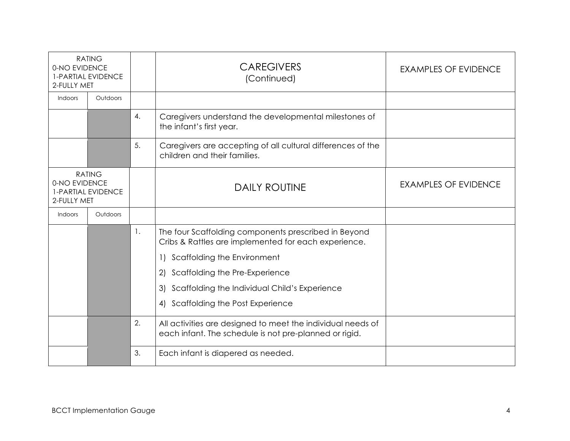| <b>RATING</b><br>0-NO EVIDENCE<br><b>1-PARTIAL EVIDENCE</b><br>2-FULLY MET |          |    | <b>CAREGIVERS</b><br>(Continued)                                                                                      | <b>EXAMPLES OF EVIDENCE</b> |
|----------------------------------------------------------------------------|----------|----|-----------------------------------------------------------------------------------------------------------------------|-----------------------------|
| Indoors                                                                    | Outdoors |    |                                                                                                                       |                             |
|                                                                            |          | 4. | Caregivers understand the developmental milestones of<br>the infant's first year.                                     |                             |
|                                                                            |          | 5. | Caregivers are accepting of all cultural differences of the<br>children and their families.                           |                             |
| <b>RATING</b><br>0-NO EVIDENCE<br><b>1-PARTIAL EVIDENCE</b><br>2-FULLY MET |          |    | <b>DAILY ROUTINE</b>                                                                                                  | <b>EXAMPLES OF EVIDENCE</b> |
| Indoors                                                                    | Outdoors |    |                                                                                                                       |                             |
|                                                                            |          | 1. | The four Scaffolding components prescribed in Beyond<br>Cribs & Rattles are implemented for each experience.          |                             |
|                                                                            |          |    | Scaffolding the Environment<br>$\left  \right $                                                                       |                             |
|                                                                            |          |    | Scaffolding the Pre-Experience<br>$\mathbf{2}$                                                                        |                             |
|                                                                            |          |    | Scaffolding the Individual Child's Experience<br>3)                                                                   |                             |
|                                                                            |          |    | Scaffolding the Post Experience<br>4)                                                                                 |                             |
|                                                                            |          | 2. | All activities are designed to meet the individual needs of<br>each infant. The schedule is not pre-planned or rigid. |                             |
|                                                                            |          | 3. | Each infant is diapered as needed.                                                                                    |                             |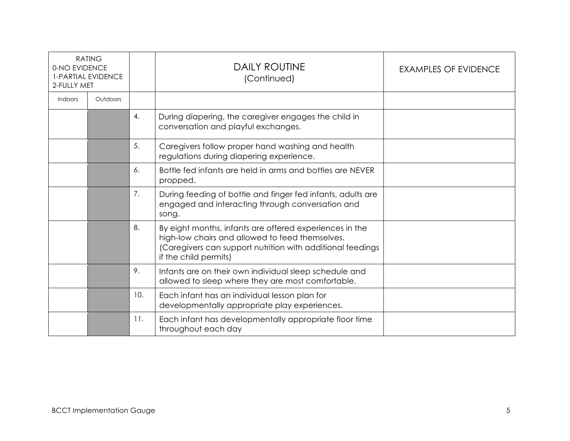| <b>RATING</b><br>0-NO EVIDENCE<br><b>1-PARTIAL EVIDENCE</b><br>2-FULLY MET |          |     | <b>DAILY ROUTINE</b><br>(Continued)                                                                                                                                                               | <b>EXAMPLES OF EVIDENCE</b> |
|----------------------------------------------------------------------------|----------|-----|---------------------------------------------------------------------------------------------------------------------------------------------------------------------------------------------------|-----------------------------|
| Indoors                                                                    | Outdoors |     |                                                                                                                                                                                                   |                             |
|                                                                            |          | 4.  | During diapering, the caregiver engages the child in<br>conversation and playful exchanges.                                                                                                       |                             |
|                                                                            |          | 5.  | Caregivers follow proper hand washing and health<br>regulations during diapering experience.                                                                                                      |                             |
|                                                                            |          | 6.  | Bottle fed infants are held in arms and bottles are NEVER<br>propped.                                                                                                                             |                             |
|                                                                            |          | 7.  | During feeding of bottle and finger fed infants, adults are<br>engaged and interacting through conversation and<br>song.                                                                          |                             |
|                                                                            |          | 8.  | By eight months, infants are offered experiences in the<br>high-low chairs and allowed to feed themselves.<br>(Caregivers can support nutrition with additional feedings<br>if the child permits) |                             |
|                                                                            |          | 9.  | Infants are on their own individual sleep schedule and<br>allowed to sleep where they are most comfortable.                                                                                       |                             |
|                                                                            |          | 10. | Each infant has an individual lesson plan for<br>developmentally appropriate play experiences.                                                                                                    |                             |
|                                                                            |          | 11. | Each infant has developmentally appropriate floor time<br>throughout each day                                                                                                                     |                             |